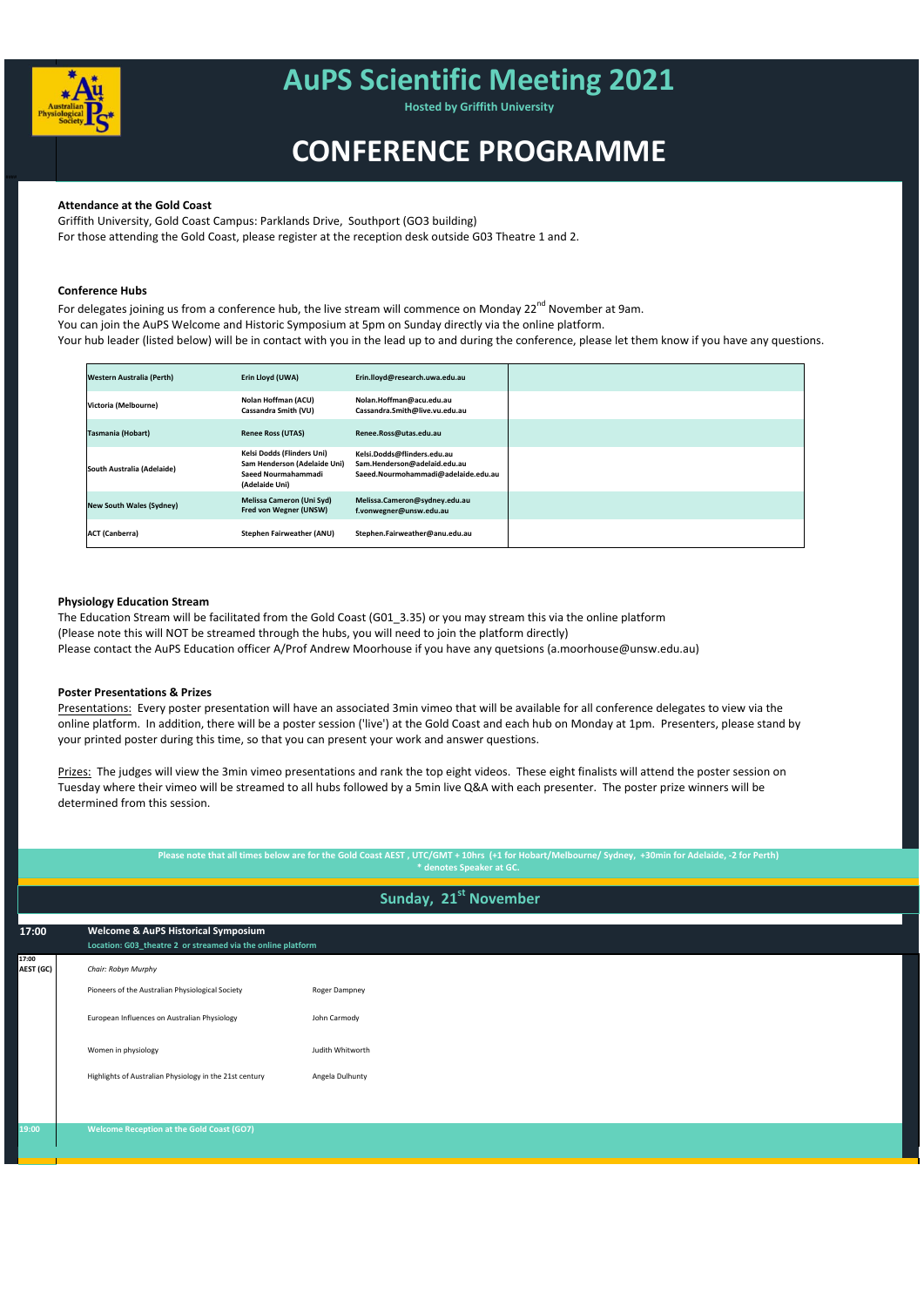**17:00**

Presentations: Every poster presentation will have an associated 3min vimeo that will be available for all conference delegates to view via the online platform. In addition, there will be a poster session ('live') at the Gold Coast and each hub on Monday at 1pm. Presenters, please stand by your printed poster during this time, so that you can present your work and answer questions.

**AEST (GC)** *Chair: Robyn Murphy*

### **Poster Presentations & Prizes**

Prizes: The judges will view the 3min vimeo presentations and rank the top eight videos. These eight finalists will attend the poster session on Tuesday where their vimeo will be streamed to all hubs followed by a 5min live Q&A with each presenter. The poster prize winners will be determined from this session.



# **AuPS Scientific Meeting 2021**

| Western Australia (Perth)       | Erin Lloyd (UWA)                                                                                    | Erin.lloyd@research.uwa.edu.au                                                                     |  |
|---------------------------------|-----------------------------------------------------------------------------------------------------|----------------------------------------------------------------------------------------------------|--|
| Victoria (Melbourne)            | Nolan Hoffman (ACU)<br>Cassandra Smith (VU)                                                         | Nolan.Hoffman@acu.edu.au<br>Cassandra.Smith@live.vu.edu.au                                         |  |
| Tasmania (Hobart)               | <b>Renee Ross (UTAS)</b>                                                                            | Renee.Ross@utas.edu.au                                                                             |  |
| South Australia (Adelaide)      | Kelsi Dodds (Flinders Uni)<br>Sam Henderson (Adelaide Uni)<br>Saeed Nourmahammadi<br>(Adelaide Uni) | Kelsi.Dodds@flinders.edu.au<br>Sam.Henderson@adelaid.edu.au<br>Saeed.Nourmohammadi@adelaide.edu.au |  |
| <b>New South Wales (Sydney)</b> | Melissa Cameron (Uni Syd)<br>Fred von Wegner (UNSW)                                                 | Melissa.Cameron@sydney.edu.au<br>f.vonwegner@unsw.edu.au                                           |  |
| <b>ACT</b> (Canberra)           | Stephen Fairweather (ANU)                                                                           | Stephen.Fairweather@anu.edu.au                                                                     |  |

|       | Pioneers of the Australian Physiological Society        | Roger Dampney    |
|-------|---------------------------------------------------------|------------------|
|       | European Influences on Australian Physiology            | John Carmody     |
|       | Women in physiology                                     | Judith Whitworth |
|       | Highlights of Australian Physiology in the 21st century | Angela Dulhunty  |
|       |                                                         |                  |
| 19:00 | <b>Welcome Reception at the Gold Coast (GO7)</b>        |                  |
|       |                                                         |                  |

**Hosted by Griffith University**

**17:00 Welcome & AuPS Historical Symposium Location: G03\_theatre 2 or streamed via the online platform**

# **CONFERENCE PROGRAMME**

**Please note that all times below are for the Gold Coast AEST , UTC/GMT + 10hrs (+1 for Hobart/Melbourne/ Sydney, +30min for Adelaide, ‐2 for Perth) \* denotes Speaker at GC.** 

**Sunday, 21st November** 

## **Attendance at the Gold Coast**

Griffith University, Gold Coast Campus: Parklands Drive, Southport (GO3 building) For those attending the Gold Coast, please register at the reception desk outside G03 Theatre 1 and 2.

### **Conference Hubs**

For delegates joining us from a conference hub, the live stream will commence on Monday 22<sup>nd</sup> November at 9am. You can join the AuPS Welcome and Historic Symposium at 5pm on Sunday directly via the online platform. Your hub leader (listed below) will be in contact with you in the lead up to and during the conference, please let them know if you have any questions.

### **Physiology Education Stream**

The Education Stream will be facilitated from the Gold Coast (G01\_3.35) or you may stream this via the online platform (Please note this will NOT be streamed through the hubs, you will need to join the platform directly) Please contact the AuPS Education officer A/Prof Andrew Moorhouse if you have any quetsions (a.moorhouse@unsw.edu.au)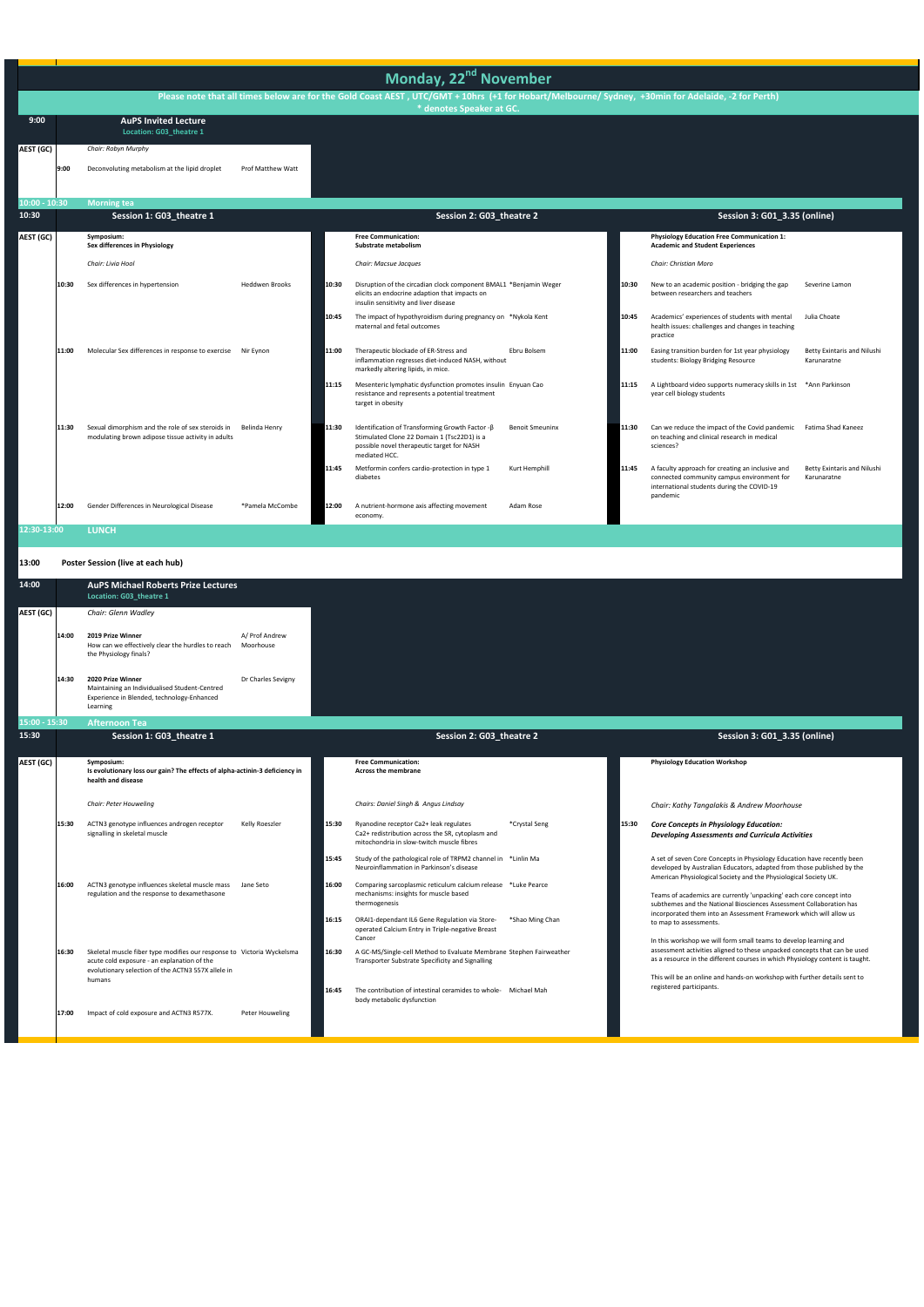|                 | Monday, 22 <sup>nd</sup> November |                                                                                                         |                       |       |                                                                                                                                                                |                        |       |                                                                                                                                                          |                                            |
|-----------------|-----------------------------------|---------------------------------------------------------------------------------------------------------|-----------------------|-------|----------------------------------------------------------------------------------------------------------------------------------------------------------------|------------------------|-------|----------------------------------------------------------------------------------------------------------------------------------------------------------|--------------------------------------------|
|                 |                                   |                                                                                                         |                       |       | Please note that all times below are for the Gold Coast AEST, UTC/GMT + 10hrs (+1 for Hobart/Melbourne/ Sydney, +30min for Adelaide, -2 for Perth)             |                        |       |                                                                                                                                                          |                                            |
|                 |                                   |                                                                                                         |                       |       | * denotes Speaker at GC.                                                                                                                                       |                        |       |                                                                                                                                                          |                                            |
| 9:00            |                                   | <b>AuPS Invited Lecture</b><br>Location: G03_theatre 1                                                  |                       |       |                                                                                                                                                                |                        |       |                                                                                                                                                          |                                            |
| AEST (GC)       |                                   | Chair: Robyn Murphy                                                                                     |                       |       |                                                                                                                                                                |                        |       |                                                                                                                                                          |                                            |
|                 | 9:00                              | Deconvoluting metabolism at the lipid droplet                                                           | Prof Matthew Watt     |       |                                                                                                                                                                |                        |       |                                                                                                                                                          |                                            |
| $10:00 - 10:30$ |                                   | <b>Morning tea</b>                                                                                      |                       |       |                                                                                                                                                                |                        |       |                                                                                                                                                          |                                            |
| 10:30           |                                   | Session 1: G03_theatre 1                                                                                |                       |       | Session 2: G03_theatre 2                                                                                                                                       |                        |       | Session 3: G01_3.35 (online)                                                                                                                             |                                            |
| AEST (GC)       |                                   | Symposium:<br>Sex differences in Physiology                                                             |                       |       | <b>Free Communication:</b><br>Substrate metabolism                                                                                                             |                        |       | <b>Physiology Education Free Communication 1:</b><br><b>Academic and Student Experiences</b>                                                             |                                            |
|                 |                                   | Chair: Livia Hool                                                                                       |                       |       | Chair: Macsue Jacques                                                                                                                                          |                        |       | Chair: Christian Moro                                                                                                                                    |                                            |
|                 | 10:30                             | Sex differences in hypertension                                                                         | <b>Heddwen Brooks</b> | 10:30 | Disruption of the circadian clock component BMAL1 *Benjamin Weger<br>elicits an endocrine adaption that impacts on<br>insulin sensitivity and liver disease    |                        | 10:30 | New to an academic position - bridging the gap<br>between researchers and teachers                                                                       | Severine Lamon                             |
|                 |                                   |                                                                                                         |                       | 10:45 | The impact of hypothyroidism during pregnancy on *Nykola Kent<br>maternal and fetal outcomes                                                                   |                        | 10:45 | Academics' experiences of students with mental<br>health issues: challenges and changes in teaching<br>practice                                          | Julia Choate                               |
|                 | 11:00                             | Molecular Sex differences in response to exercise                                                       | Nir Eynon             | 11:00 | Therapeutic blockade of ER-Stress and<br>inflammation regresses diet-induced NASH, without<br>markedly altering lipids, in mice.                               | Ebru Bolsem            | 11:00 | Easing transition burden for 1st year physiology<br>students: Biology Bridging Resource                                                                  | Betty Exintaris and Nilushi<br>Karunaratne |
|                 |                                   |                                                                                                         |                       | 11:15 | Mesenteric lymphatic dysfunction promotes insulin Enyuan Cao<br>resistance and represents a potential treatment<br>target in obesity                           |                        | 11:15 | A Lightboard video supports numeracy skills in 1st<br>year cell biology students                                                                         | *Ann Parkinson                             |
|                 | 11:30                             | Sexual dimorphism and the role of sex steroids in<br>modulating brown adipose tissue activity in adults | Belinda Henry         | 11:30 | Identification of Transforming Growth Factor - B<br>Stimulated Clone 22 Domain 1 (Tsc22D1) is a<br>possible novel therapeutic target for NASH<br>mediated HCC. | <b>Benoit Smeuninx</b> | 11:30 | Can we reduce the impact of the Covid pandemic<br>on teaching and clinical research in medical<br>sciences?                                              | Fatima Shad Kaneez                         |
|                 |                                   |                                                                                                         |                       | 11:45 | Metformin confers cardio-protection in type 1<br>diabetes                                                                                                      | Kurt Hemphill          | 11:45 | A faculty approach for creating an inclusive and<br>connected community campus environment for<br>international students during the COVID-19<br>pandemic | Betty Exintaris and Nilushi<br>Karunaratne |
|                 | 12:00                             | Gender Differences in Neurological Disease                                                              | *Pamela McCombe       | 12:00 | A nutrient-hormone axis affecting movement<br>economy.                                                                                                         | Adam Rose              |       |                                                                                                                                                          |                                            |
| 12:30-13:00     |                                   | <b>LUNCH</b>                                                                                            |                       |       |                                                                                                                                                                |                        |       |                                                                                                                                                          |                                            |

| 14:00         |       | <b>AuPS Michael Roberts Prize Lectures</b><br>Location: G03 theatre 1                                                                                                       |                             |       |                                                                                                                                         |                 |       |                                                                                                                                                                                                                       |
|---------------|-------|-----------------------------------------------------------------------------------------------------------------------------------------------------------------------------|-----------------------------|-------|-----------------------------------------------------------------------------------------------------------------------------------------|-----------------|-------|-----------------------------------------------------------------------------------------------------------------------------------------------------------------------------------------------------------------------|
| AEST (GC)     |       | Chair: Glenn Wadley                                                                                                                                                         |                             |       |                                                                                                                                         |                 |       |                                                                                                                                                                                                                       |
|               | 14:00 | 2019 Prize Winner<br>How can we effectively clear the hurdles to reach<br>the Physiology finals?                                                                            | A/ Prof Andrew<br>Moorhouse |       |                                                                                                                                         |                 |       |                                                                                                                                                                                                                       |
|               | 14:30 | 2020 Prize Winner<br>Maintaining an Individualised Student-Centred<br>Experience in Blended, technology-Enhanced<br>Learning                                                | Dr Charles Sevigny          |       |                                                                                                                                         |                 |       |                                                                                                                                                                                                                       |
| 15:00 - 15:30 |       | <b>Afternoon Tea</b>                                                                                                                                                        |                             |       |                                                                                                                                         |                 |       |                                                                                                                                                                                                                       |
| 15:30         |       | Session 1: G03_theatre 1                                                                                                                                                    |                             |       | Session 2: G03_theatre 2                                                                                                                |                 |       | Session 3: G01_3.35 (online)                                                                                                                                                                                          |
| AEST (GC)     |       | Symposium:<br>Is evolutionary loss our gain? The effects of alpha-actinin-3 deficiency in<br>health and disease                                                             |                             |       | <b>Free Communication:</b><br><b>Across the membrane</b>                                                                                |                 |       | <b>Physiology Education Workshop</b>                                                                                                                                                                                  |
|               |       | Chair: Peter Houweling                                                                                                                                                      |                             |       | Chairs: Daniel Singh & Angus Lindsay                                                                                                    |                 |       | Chair: Kathy Tangalakis & Andrew Moorhouse                                                                                                                                                                            |
|               | 15:30 | ACTN3 genotype influences androgen receptor<br>signalling in skeletal muscle                                                                                                | <b>Kelly Roeszler</b>       | 15:30 | Ryanodine receptor Ca2+ leak regulates<br>Ca2+ redistribution across the SR, cytoplasm and<br>mitochondria in slow-twitch muscle fibres | *Crystal Seng   | 15:30 | <b>Core Concepts in Physiology Education:</b><br><b>Developing Assessments and Curricula Activities</b>                                                                                                               |
|               |       |                                                                                                                                                                             |                             | 15:45 | Study of the pathological role of TRPM2 channel in *Linlin Ma<br>Neuroinflammation in Parkinson's disease                               |                 |       | A set of seven Core Concepts in Physiology Education have recently been<br>developed by Australian Educators, adapted from those published by the<br>American Physiological Society and the Physiological Society UK. |
|               | 16:00 | ACTN3 genotype influences skeletal muscle mass<br>regulation and the response to dexamethasone                                                                              | Jane Seto                   | 16:00 | Comparing sarcoplasmic reticulum calcium release *Luke Pearce<br>mechanisms: insights for muscle based<br>thermogenesis                 |                 |       | Teams of academics are currently 'unpacking' each core concept into<br>subthemes and the National Biosciences Assessment Collaboration has                                                                            |
|               |       |                                                                                                                                                                             |                             | 16:15 | ORAI1-dependant IL6 Gene Regulation via Store-<br>operated Calcium Entry in Triple-negative Breast<br>Cancer                            | *Shao Ming Chan |       | incorporated them into an Assessment Framework which will allow us<br>to map to assessments.<br>In this workshop we will form small teams to develop learning and                                                     |
|               | 16:30 | Skeletal muscle fiber type modifies our response to Victoria Wyckelsma<br>acute cold exposure - an explanation of the<br>evolutionary selection of the ACTN3 557X allele in |                             | 16:30 | A GC-MS/Single-cell Method to Evaluate Membrane Stephen Fairweather<br>Transporter Substrate Specificity and Signalling                 |                 |       | assessment activities aligned to these unpacked concepts that can be used<br>as a resource in the different courses in which Physiology content is taught.                                                            |
|               |       | humans                                                                                                                                                                      |                             |       |                                                                                                                                         |                 |       | This will be an online and hands-on workshop with further details sent to<br>rogictored participants                                                                                                                  |

### **13:00 Poster Session (live at each hub)**

|  | Impact of cold exposure and ACTN3 R577X.<br>Peter Houweling<br>17:00 | 16:45 | The contribution of intestinal ceramides to whole- Michael Mah<br>body metabolic dysfunction | registered participants. |  |
|--|----------------------------------------------------------------------|-------|----------------------------------------------------------------------------------------------|--------------------------|--|
|--|----------------------------------------------------------------------|-------|----------------------------------------------------------------------------------------------|--------------------------|--|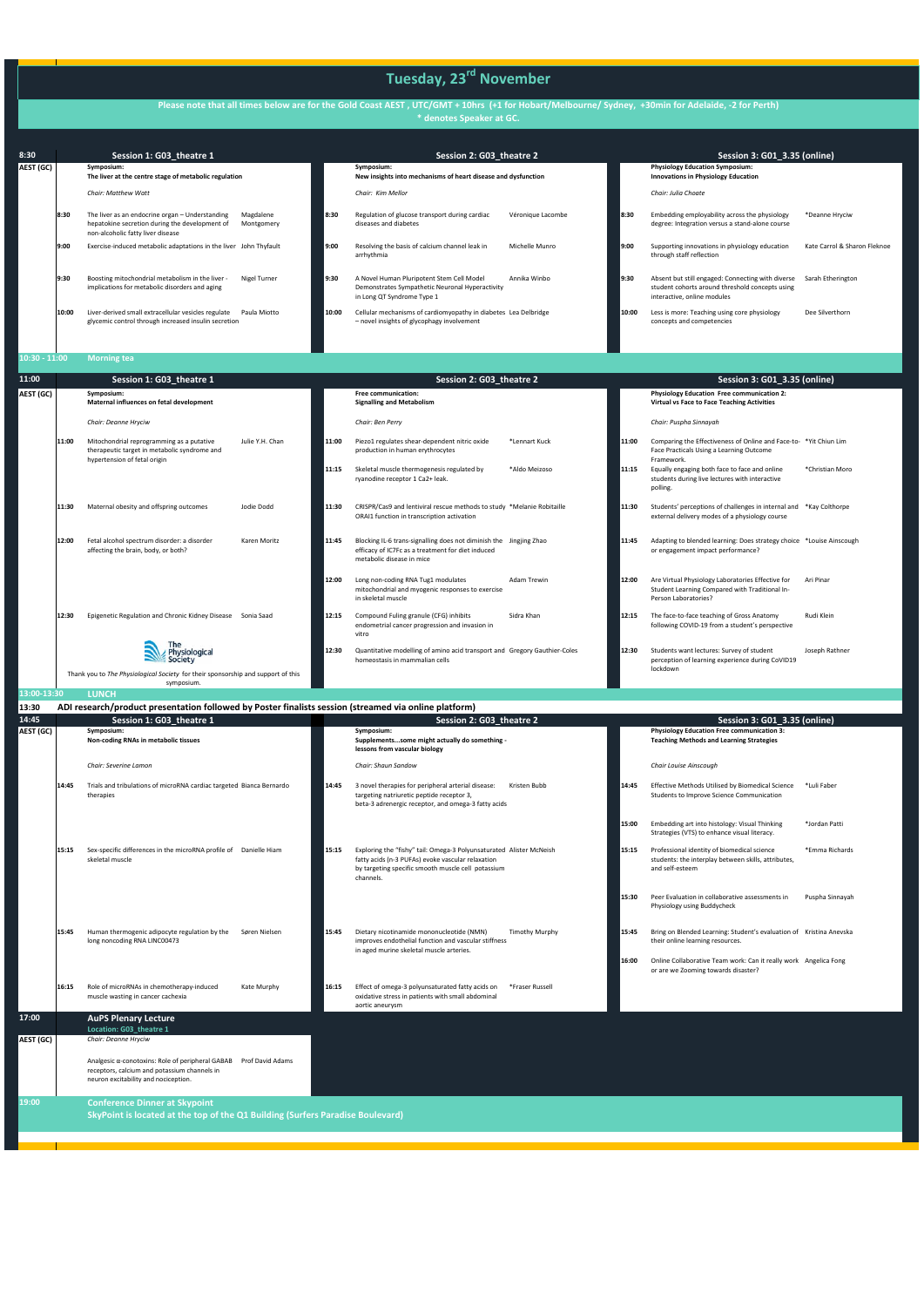14:45 **Session 1: G03\_theatre**<br>**AEST (GC)** Symposium: **Symposium: Non‐coding RNAs in metabolic tissues Symposium: Supplements...some might actually do something ‐ lessons from vascular biology Physiology Education Free communication 3: Teaching Methods and Learning Strategies** *Chair: Severine Lamon Chair: Shaun Sandow Chair Louise Ainscough*  **14:45** Trials and tribulations of microRNA cardiac targeted therapies 14:45 3 novel therapies for peripheral arterial disease: Kristen Bubb targeting natriuretic peptide receptor 3, beta‐3 adrenergic receptor, and omega‐3 fatty acids Kristen Bubb **14:45** Effective Methods Utilised by Biomedical Science \*Luli Faber Students to Improve Science Communication **15:00** Embedding art into histology: Visual Thinking Strategies (VTS) to enhance visual literacy. \*Jordan Patti 15:15 Sex-specific differences in the microRNA profile of Danielle Hiam skeletal muscle 15:15 Exploring the "fishy" tail: Omega-3 Polyunsaturated Alister McNeish fatty acids (n‐3 PUFAs) evoke vascular relaxation by targeting specific smooth muscle cell potassium channels. 15:15 Professional identity of biomedical science students: the interplay between skills, attributes, and self‐esteem \*Emma Richards **15:30** Peer Evaluation in collaborative assessments in Physiology using Buddycheck Puspha Sinnayah **15:45** Human thermogenic adipocyte regulation by the long noncoding RNA LINC00473 15:45 Dietary nicotinamide mononucleotide (NMN) improves endothelial function and vascular stiffness in aged murine skeletal muscle arteries. Timothy Murphy **15:45** Bring on Blended Learning: Student's evaluation of Kristina Anevska their online learning resources. **16:00** Online Collaborative Team work: Can it really work Angelica Fong or are we Zooming towards disaster?

| 8:30            |                                                                     | Session 1: G03 theatre 1                                                                                                               |                         |                            | Session 2: G03 theatre 2                                                                                                   |                   |                                            | Session 3: G01 3.35 (online)                                                                                                        |                              |
|-----------------|---------------------------------------------------------------------|----------------------------------------------------------------------------------------------------------------------------------------|-------------------------|----------------------------|----------------------------------------------------------------------------------------------------------------------------|-------------------|--------------------------------------------|-------------------------------------------------------------------------------------------------------------------------------------|------------------------------|
| AEST (GC)       | Symposium:<br>The liver at the centre stage of metabolic regulation |                                                                                                                                        |                         |                            | Symposium:<br>New insights into mechanisms of heart disease and dysfunction                                                |                   |                                            | <b>Physiology Education Symposium:</b><br><b>Innovations in Physiology Education</b>                                                |                              |
|                 |                                                                     | <b>Chair: Matthew Watt</b>                                                                                                             |                         |                            | Chair: Kim Mellor                                                                                                          |                   |                                            | Chair: Julia Choate                                                                                                                 |                              |
|                 | 8:30                                                                | The liver as an endocrine organ - Understanding<br>hepatokine secretion during the development of<br>non-alcoholic fatty liver disease | Magdalene<br>Montgomery | 8:30                       | Regulation of glucose transport during cardiac<br>diseases and diabetes                                                    | Véronique Lacombe | 8:30                                       | Embedding employability across the physiology<br>degree: Integration versus a stand-alone course                                    | *Deanne Hryciw               |
|                 | 9:00                                                                | Exercise-induced metabolic adaptations in the liver John Thyfault                                                                      |                         | 9:00                       | Resolving the basis of calcium channel leak in<br>arrhythmia                                                               | Michelle Munro    | l 9:00                                     | Supporting innovations in physiology education<br>through staff reflection                                                          | Kate Carrol & Sharon Fleknoe |
|                 | 9:30                                                                | Boosting mitochondrial metabolism in the liver -<br>implications for metabolic disorders and aging                                     | Nigel Turner            | 9:30                       | A Novel Human Pluripotent Stem Cell Model<br>Demonstrates Sympathetic Neuronal Hyperactivity<br>in Long QT Syndrome Type 1 | Annika Winbo      | 9:30                                       | Absent but still engaged: Connecting with diverse<br>student cohorts around threshold concepts using<br>interactive, online modules | Sarah Etherington            |
|                 | 10:00                                                               | Liver-derived small extracellular vesicles regulate<br>glycemic control through increased insulin secretion                            | Paula Miotto            | 10:00                      | Cellular mechanisms of cardiomyopathy in diabetes Lea Delbridge<br>- novel insights of glycophagy involvement              |                   | 10:00                                      | Less is more: Teaching using core physiology<br>concepts and competencies                                                           | Dee Silverthorn              |
| $10:30 - 11:00$ |                                                                     | <b>Morning tea</b>                                                                                                                     |                         |                            |                                                                                                                            |                   |                                            |                                                                                                                                     |                              |
| 11:00           |                                                                     | Session 1: G03 theatre 1                                                                                                               |                         |                            | Session 2: G03 theatre 2                                                                                                   |                   |                                            | Session 3: G01 3.35 (online)                                                                                                        |                              |
| AEST (GC)       | Symposium:<br>.                                                     |                                                                                                                                        |                         | <b>Free communication:</b> |                                                                                                                            |                   | Physiology Education Free communication 2: |                                                                                                                                     |                              |

|             |       | Maternal influences on fetal development                                                                                  |                 |       | <b>Signalling and Metabolism</b>                                                                                                                     |                    |       | <b>Virtual vs Face to Face Teaching Activities</b>                                                                          |                 |
|-------------|-------|---------------------------------------------------------------------------------------------------------------------------|-----------------|-------|------------------------------------------------------------------------------------------------------------------------------------------------------|--------------------|-------|-----------------------------------------------------------------------------------------------------------------------------|-----------------|
|             |       | Chair: Deanne Hryciw                                                                                                      |                 |       | Chair: Ben Perry                                                                                                                                     |                    |       | Chair: Puspha Sinnayah                                                                                                      |                 |
|             | 11:00 | Mitochondrial reprogramming as a putative<br>therapeutic target in metabolic syndrome and<br>hypertension of fetal origin | Julie Y.H. Chan | 11:00 | Piezo1 regulates shear-dependent nitric oxide<br>production in human erythrocytes                                                                    | *Lennart Kuck      | 11:00 | Comparing the Effectiveness of Online and Face-to- *Yit Chiun Lim<br>Face Practicals Using a Learning Outcome<br>Framework. |                 |
|             |       |                                                                                                                           |                 | 11:15 | Skeletal muscle thermogenesis regulated by<br>rvanodine receptor 1 Ca2+ leak.                                                                        | *Aldo Meizoso      | 11:15 | Equally engaging both face to face and online<br>students during live lectures with interactive<br>polling.                 | *Christian Moro |
|             | 11:30 | Maternal obesity and offspring outcomes                                                                                   | Jodie Dodd      | 11:30 | CRISPR/Cas9 and lentiviral rescue methods to study *Melanie Robitaille<br>ORAI1 function in transcription activation                                 |                    | 11:30 | Students' perceptions of challenges in internal and *Kay Colthorpe<br>external delivery modes of a physiology course        |                 |
|             | 12:00 | Fetal alcohol spectrum disorder: a disorder<br>affecting the brain, body, or both?                                        | Karen Moritz    | 11:45 | Blocking IL-6 trans-signalling does not diminish the Jingjing Zhao<br>efficacy of IC7Fc as a treatment for diet induced<br>metabolic disease in mice |                    | 11:45 | Adapting to blended learning: Does strategy choice *Louise Ainscough<br>or engagement impact performance?                   |                 |
|             |       |                                                                                                                           |                 | 12:00 | Long non-coding RNA Tug1 modulates<br>mitochondrial and myogenic responses to exercise<br>in skeletal muscle                                         | <b>Adam Trewin</b> | 12:00 | Are Virtual Physiology Laboratories Effective for<br>Student Learning Compared with Traditional In-<br>Person Laboratories? | Ari Pinar       |
|             | 12:30 | Epigenetic Regulation and Chronic Kidney Disease Sonia Saad                                                               |                 | 12:15 | Compound Fuling granule (CFG) inhibits<br>endometrial cancer progression and invasion in<br>vitro                                                    | Sidra Khan         | 12:15 | The face-to-face teaching of Gross Anatomy<br>following COVID-19 from a student's perspective                               | Rudi Klein      |
|             |       | Physiological<br>Society                                                                                                  |                 | 12:30 | Quantitative modelling of amino acid transport and Gregory Gauthier-Coles<br>homeostasis in mammalian cells                                          |                    | 12:30 | Students want lectures: Survey of student<br>perception of learning experience during CoVID19<br>lockdown                   | Joseph Rathner  |
|             |       | Thank you to The Physiological Society for their sponsorship and support of this<br>symposium.                            |                 |       |                                                                                                                                                      |                    |       |                                                                                                                             |                 |
| 13:00-13:30 |       | <b>LUNCH</b>                                                                                                              |                 |       |                                                                                                                                                      |                    |       |                                                                                                                             |                 |
| 13:30       |       | ADI research/product presentation followed by Poster finalists session (streamed via online platform)                     |                 |       |                                                                                                                                                      |                    |       |                                                                                                                             |                 |
| 14:45       |       | Session 1: G03 theatre 1                                                                                                  |                 |       | Session 2: G03 theatre 2                                                                                                                             |                    |       | Session 3: G01_3.35 (online)                                                                                                |                 |

|           | 16:15 | Role of microRNAs in chemotherapy-induced<br>Kate Murphy<br>muscle wasting in cancer cachexia                                                                | 16:15 | Effect of omega-3 polyunsaturated fatty acids on<br>oxidative stress in patients with small abdominal<br>aortic aneurysm | *Fraser Russell |  |
|-----------|-------|--------------------------------------------------------------------------------------------------------------------------------------------------------------|-------|--------------------------------------------------------------------------------------------------------------------------|-----------------|--|
| 17:00     |       | <b>AuPS Plenary Lecture</b>                                                                                                                                  |       |                                                                                                                          |                 |  |
|           |       | Location: G03_theatre 1                                                                                                                                      |       |                                                                                                                          |                 |  |
| AEST (GC) |       | Chair: Deanne Hryciw                                                                                                                                         |       |                                                                                                                          |                 |  |
|           |       | Analgesic α-conotoxins: Role of peripheral GABAB<br>Prof David Adams<br>receptors, calcium and potassium channels in<br>neuron excitability and nociception. |       |                                                                                                                          |                 |  |
| 19:00     |       | <b>Conference Dinner at Skypoint</b>                                                                                                                         |       |                                                                                                                          |                 |  |
|           |       | SkyPoint is located at the top of the Q1 Building (Surfers Paradise Boulevard)                                                                               |       |                                                                                                                          |                 |  |
|           |       |                                                                                                                                                              |       |                                                                                                                          |                 |  |
|           |       |                                                                                                                                                              |       |                                                                                                                          |                 |  |
|           |       |                                                                                                                                                              |       |                                                                                                                          |                 |  |

**Please note that all times below are for the Gold Coast AEST , UTC/GMT + 10hrs (+1 for Hobart/Melbourne/ Sydney, +30min for Adelaide, ‐2 for Perth) \* denotes Speaker at GC.** 

# **Tuesday, 23rd November**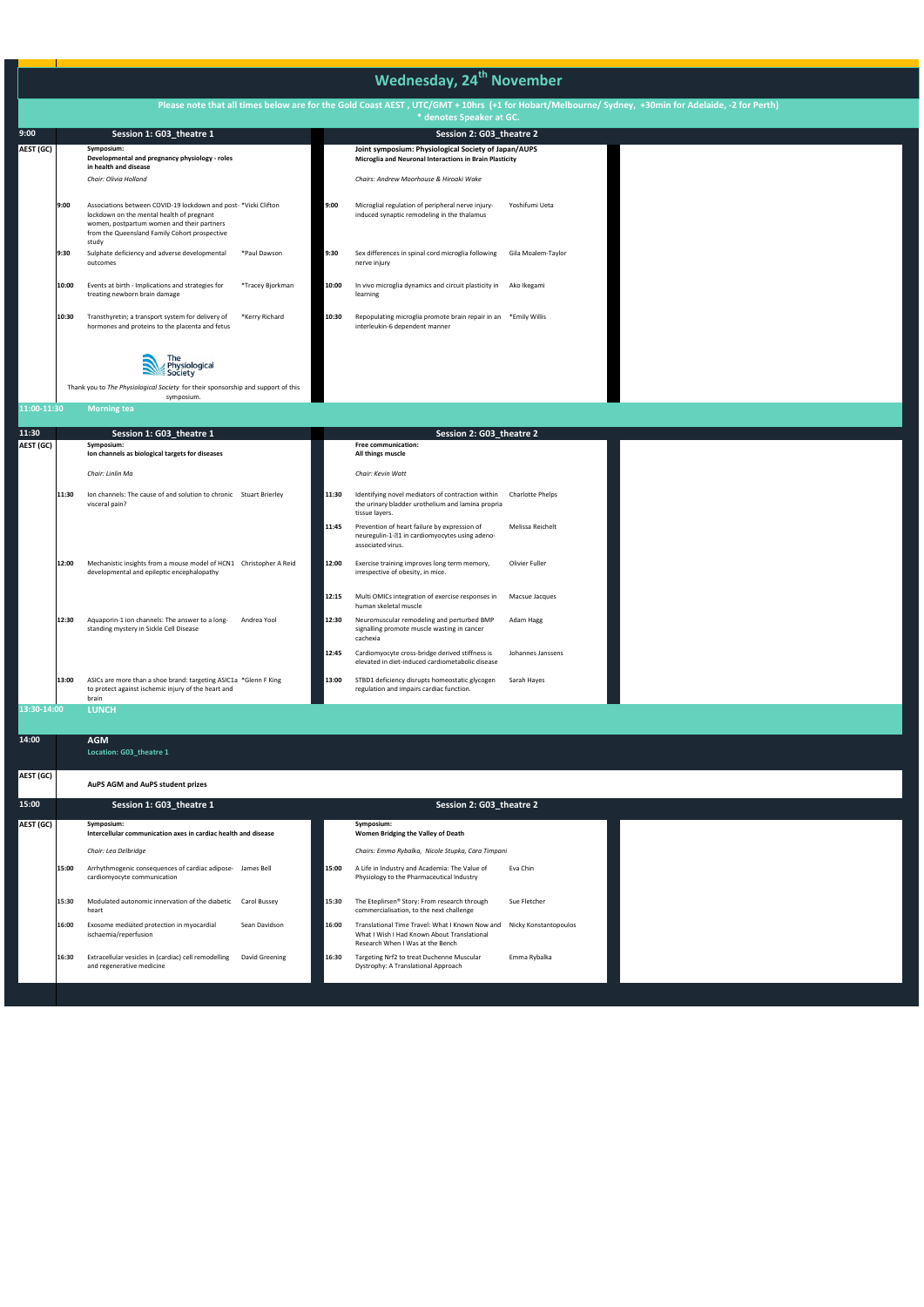|             |       |                                                                                                                                                                                                                     |                  |       | <b>Wednesday, 24<sup>th</sup> November</b>                                                                                                                                     |                         |  |
|-------------|-------|---------------------------------------------------------------------------------------------------------------------------------------------------------------------------------------------------------------------|------------------|-------|--------------------------------------------------------------------------------------------------------------------------------------------------------------------------------|-------------------------|--|
|             |       |                                                                                                                                                                                                                     |                  |       | Please note that all times below are for the Gold Coast AEST, UTC/GMT + 10hrs (+1 for Hobart/Melbourne/ Sydney, +30min for Adelaide, -2 for Perth)<br>* denotes Speaker at GC. |                         |  |
| 9:00        |       | Session 1: G03_theatre 1                                                                                                                                                                                            |                  |       | Session 2: G03_theatre 2                                                                                                                                                       |                         |  |
| AEST (GC)   |       | Symposium:<br>Developmental and pregnancy physiology - roles<br>in health and disease                                                                                                                               |                  |       | Joint symposium: Physiological Society of Japan/AUPS<br>Microglia and Neuronal Interactions in Brain Plasticity                                                                |                         |  |
|             |       | Chair: Olivia Holland                                                                                                                                                                                               |                  |       | Chairs: Andrew Moorhouse & Hiroaki Wake                                                                                                                                        |                         |  |
|             | 9:00  | Associations between COVID-19 lockdown and post-*Vicki Clifton<br>lockdown on the mental health of pregnant<br>women, postpartum women and their partners<br>from the Queensland Family Cohort prospective<br>study |                  | 9:00  | Microglial regulation of peripheral nerve injury-<br>induced synaptic remodeling in the thalamus                                                                               | Yoshifumi Ueta          |  |
|             | 9:30  | Sulphate deficiency and adverse developmental<br>outcomes                                                                                                                                                           | *Paul Dawson     | 9:30  | Sex differences in spinal cord microglia following<br>nerve injury                                                                                                             | Gila Moalem-Taylor      |  |
|             | 10:00 | Events at birth - Implications and strategies for<br>treating newborn brain damage                                                                                                                                  | *Tracey Bjorkman | 10:00 | In vivo microglia dynamics and circuit plasticity in<br>learning                                                                                                               | Ako Ikegami             |  |
|             | 10:30 | Transthyretin; a transport system for delivery of<br>hormones and proteins to the placenta and fetus                                                                                                                | *Kerry Richard   | 10:30 | Repopulating microglia promote brain repair in an *Emily Willis<br>interleukin-6 dependent manner                                                                              |                         |  |
|             |       | Physiological<br>Society                                                                                                                                                                                            |                  |       |                                                                                                                                                                                |                         |  |
|             |       | Thank you to The Physiological Society for their sponsorship and support of this                                                                                                                                    |                  |       |                                                                                                                                                                                |                         |  |
| 11:00-11:30 |       | symposium.<br><b>Morning tea</b>                                                                                                                                                                                    |                  |       |                                                                                                                                                                                |                         |  |
|             |       |                                                                                                                                                                                                                     |                  |       |                                                                                                                                                                                |                         |  |
| 11:30       |       | Session 1: G03_theatre 1                                                                                                                                                                                            |                  |       | Session 2: G03_theatre 2                                                                                                                                                       |                         |  |
| AEST (GC)   |       | Symposium:<br>Ion channels as biological targets for diseases                                                                                                                                                       |                  |       | Free communication:<br>All things muscle                                                                                                                                       |                         |  |
|             |       | Chair: Linlin Ma                                                                                                                                                                                                    |                  |       | Chair: Kevin Watt                                                                                                                                                              |                         |  |
|             | 11:30 | Ion channels: The cause of and solution to chronic Stuart Brierley<br>visceral pain?                                                                                                                                |                  | 11:30 | Identifying novel mediators of contraction within<br>the urinary bladder urothelium and lamina propria<br>tissue layers.                                                       | <b>Charlotte Phelps</b> |  |
|             |       |                                                                                                                                                                                                                     |                  | 11:45 | Prevention of heart failure by expression of<br>neuregulin-1-21 in cardiomyocytes using adeno-<br>associated virus.                                                            | Melissa Reichelt        |  |
|             | 12:00 | Mechanistic insights from a mouse model of HCN1 Christopher A Reid<br>developmental and epileptic encephalopathy                                                                                                    |                  | 12:00 | Exercise training improves long term memory,<br>irrespective of obesity, in mice.                                                                                              | Olivier Fuller          |  |
|             |       |                                                                                                                                                                                                                     |                  | 12:15 | Multi OMICs integration of exercise responses in<br>human skeletal muscle                                                                                                      | Macsue Jacques          |  |
|             | 12:30 | Aquaporin-1 ion channels: The answer to a long-<br>standing mystery in Sickle Cell Disease                                                                                                                          | Andrea Yool      | 12:30 | Neuromuscular remodeling and perturbed BMP<br>signalling promote muscle wasting in cancer<br>cachexia                                                                          | Adam Hagg               |  |
|             |       |                                                                                                                                                                                                                     |                  | 12:45 | Cardiomyocyte cross-bridge derived stiffness is<br>elevated in diet-induced cardiometabolic disease                                                                            | Johannes Janssens       |  |
|             | 13:00 | ASICs are more than a shoe brand: targeting ASIC1a *Glenn F King<br>to protect against ischemic injury of the heart and<br>brain                                                                                    |                  | 13:00 | STBD1 deficiency disrupts homeostatic glycogen<br>regulation and impairs cardiac function.                                                                                     | Sarah Hayes             |  |
| 13:30-14:00 |       | <b>LUNCH</b>                                                                                                                                                                                                        |                  |       |                                                                                                                                                                                |                         |  |
| 14:00       |       | <b>AGM</b><br>Location: G03_theatre 1                                                                                                                                                                               |                  |       |                                                                                                                                                                                |                         |  |
| AEST (GC)   |       | AuPS AGM and AuPS student prizes                                                                                                                                                                                    |                  |       |                                                                                                                                                                                |                         |  |
| 15:00       |       | Session 1: G03_theatre 1                                                                                                                                                                                            |                  |       | Session 2: G03_theatre 2                                                                                                                                                       |                         |  |
| AEST (GC)   |       | Symposium:<br>Intercellular communication axes in cardiac health and disease                                                                                                                                        |                  |       | Symposium:<br>Women Bridging the Valley of Death                                                                                                                               |                         |  |
|             |       | Chair: Lea Delbridge                                                                                                                                                                                                |                  |       | Chairs: Emma Rybalka, Nicole Stupka, Cara Timpani                                                                                                                              |                         |  |
|             | 15:00 | Arrhythmogenic consequences of cardiac adipose- James Bell<br>cardiomyocyte communication                                                                                                                           |                  | 15:00 | A Life in Industry and Academia: The Value of<br>Physiology to the Pharmaceutical Industry                                                                                     | Eva Chin                |  |
|             | 15:30 | Modulated autonomic innervation of the diabetic Carol Bussey<br>heart                                                                                                                                               |                  | 15:30 | The Eteplirsen® Story: From research through<br>commercialisation, to the next challenge                                                                                       | Sue Fletcher            |  |
|             | 16:00 | Exosome mediated protection in myocardial<br>ischaemia/reperfusion                                                                                                                                                  | Sean Davidson    | 16:00 | Translational Time Travel: What I Known Now and<br>What I Wish I Had Known About Translational<br>Research When I Was at the Bench                                             | Nicky Konstantopoulos   |  |
|             | 16:30 | Extracellular vesicles in (cardiac) cell remodelling<br>and regenerative medicine                                                                                                                                   | David Greening   | 16:30 | Targeting Nrf2 to treat Duchenne Muscular<br>Dystrophy: A Translational Approach                                                                                               | Emma Rybalka            |  |